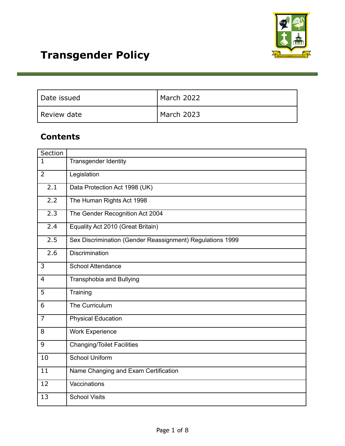

| l Date issued | March 2022 |
|---------------|------------|
| Review date   | March 2023 |

# **Contents**

| Section                 |                                                           |  |
|-------------------------|-----------------------------------------------------------|--|
| $\overline{\mathbf{1}}$ | <b>Transgender Identity</b>                               |  |
| $\overline{2}$          | Legislation                                               |  |
| 2.1                     | Data Protection Act 1998 (UK)                             |  |
| 2.2                     | The Human Rights Act 1998                                 |  |
| 2.3                     | The Gender Recognition Act 2004                           |  |
| 2.4                     | Equality Act 2010 (Great Britain)                         |  |
| 2.5                     | Sex Discrimination (Gender Reassignment) Regulations 1999 |  |
| 2.6                     | Discrimination                                            |  |
| 3                       | <b>School Attendance</b>                                  |  |
| $\overline{4}$          | Transphobia and Bullying                                  |  |
| 5                       | Training                                                  |  |
| 6                       | The Curriculum                                            |  |
| $\overline{7}$          | <b>Physical Education</b>                                 |  |
| 8                       | <b>Work Experience</b>                                    |  |
| 9                       | <b>Changing/Toilet Facilities</b>                         |  |
| 10                      | <b>School Uniform</b>                                     |  |
| $\overline{11}$         | Name Changing and Exam Certification                      |  |
| 12                      | Vaccinations                                              |  |
| 13                      | <b>School Visits</b>                                      |  |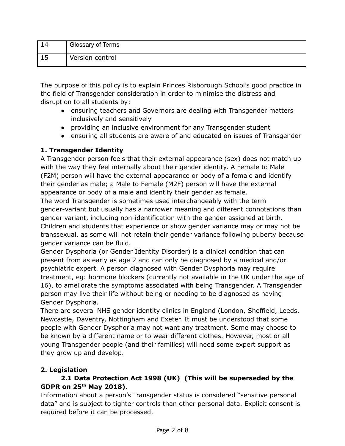|   | Glossary of Terms |
|---|-------------------|
| ᅩ | Version control   |

The purpose of this policy is to explain Princes Risborough School's good practice in the field of Transgender consideration in order to minimise the distress and disruption to all students by:

- ensuring teachers and Governors are dealing with Transgender matters inclusively and sensitively
- providing an inclusive environment for any Transgender student
- ensuring all students are aware of and educated on issues of Transgender

# **1. Transgender Identity**

A Transgender person feels that their external appearance (sex) does not match up with the way they feel internally about their gender identity. A Female to Male (F2M) person will have the external appearance or body of a female and identify their gender as male; a Male to Female (M2F) person will have the external appearance or body of a male and identify their gender as female.

The word Transgender is sometimes used interchangeably with the term gender-variant but usually has a narrower meaning and different connotations than gender variant, including non-identification with the gender assigned at birth. Children and students that experience or show gender variance may or may not be transsexual, as some will not retain their gender variance following puberty because gender variance can be fluid.

Gender Dysphoria (or Gender Identity Disorder) is a clinical condition that can present from as early as age 2 and can only be diagnosed by a medical and/or psychiatric expert. A person diagnosed with Gender Dysphoria may require treatment, eg: hormone blockers (currently not available in the UK under the age of 16), to ameliorate the symptoms associated with being Transgender. A Transgender person may live their life without being or needing to be diagnosed as having Gender Dysphoria.

There are several NHS gender identity clinics in England (London, Sheffield, Leeds, Newcastle, Daventry, Nottingham and Exeter. It must be understood that some people with Gender Dysphoria may not want any treatment. Some may choose to be known by a different name or to wear different clothes. However, most or all young Transgender people (and their families) will need some expert support as they grow up and develop.

# **2. Legislation**

# **2.1 Data Protection Act 1998 (UK) (This will be superseded by the GDPR on 25 th May 2018).**

Information about a person's Transgender status is considered "sensitive personal data" and is subject to tighter controls than other personal data. Explicit consent is required before it can be processed.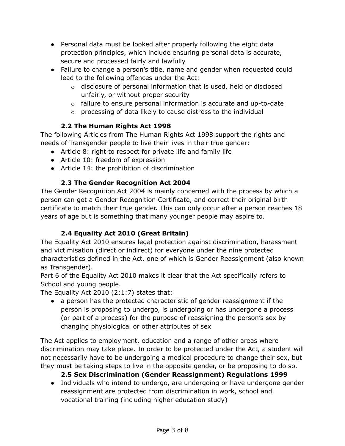- Personal data must be looked after properly following the eight data protection principles, which include ensuring personal data is accurate, secure and processed fairly and lawfully
- Failure to change a person's title, name and gender when requested could lead to the following offences under the Act:
	- $\circ$  disclosure of personal information that is used, held or disclosed unfairly, or without proper security
	- $\circ$  failure to ensure personal information is accurate and up-to-date
	- o processing of data likely to cause distress to the individual

#### **2.2 The Human Rights Act 1998**

The following Articles from The Human Rights Act 1998 support the rights and needs of Transgender people to live their lives in their true gender:

- Article 8: right to respect for private life and family life
- Article 10: freedom of expression
- Article 14: the prohibition of discrimination

# **2.3 The Gender Recognition Act 2004**

The Gender Recognition Act 2004 is mainly concerned with the process by which a person can get a Gender Recognition Certificate, and correct their original birth certificate to match their true gender. This can only occur after a person reaches 18 years of age but is something that many younger people may aspire to.

# **2.4 Equality Act 2010 (Great Britain)**

The Equality Act 2010 ensures legal protection against discrimination, harassment and victimisation (direct or indirect) for everyone under the nine protected characteristics defined in the Act, one of which is Gender Reassignment (also known as Transgender).

Part 6 of the Equality Act 2010 makes it clear that the Act specifically refers to School and young people.

The Equality Act 2010 (2:1:7) states that:

● a person has the protected characteristic of gender reassignment if the person is proposing to undergo, is undergoing or has undergone a process (or part of a process) for the purpose of reassigning the person's sex by changing physiological or other attributes of sex

The Act applies to employment, education and a range of other areas where discrimination may take place. In order to be protected under the Act, a student will not necessarily have to be undergoing a medical procedure to change their sex, but they must be taking steps to live in the opposite gender, or be proposing to do so.

#### **2.5 Sex Discrimination (Gender Reassignment) Regulations 1999**

● Individuals who intend to undergo, are undergoing or have undergone gender reassignment are protected from discrimination in work, school and vocational training (including higher education study)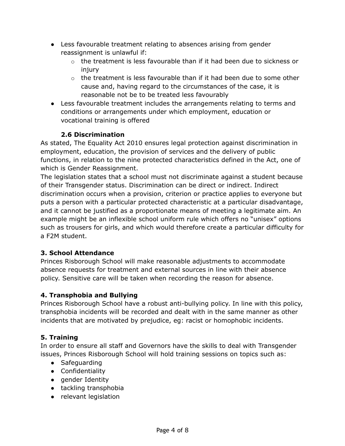- Less favourable treatment relating to absences arising from gender reassignment is unlawful if:
	- $\circ$  the treatment is less favourable than if it had been due to sickness or injury
	- o the treatment is less favourable than if it had been due to some other cause and, having regard to the circumstances of the case, it is reasonable not be to be treated less favourably
- Less favourable treatment includes the arrangements relating to terms and conditions or arrangements under which employment, education or vocational training is offered

# **2.6 Discrimination**

As stated, The Equality Act 2010 ensures legal protection against discrimination in employment, education, the provision of services and the delivery of public functions, in relation to the nine protected characteristics defined in the Act, one of which is Gender Reassignment.

The legislation states that a school must not discriminate against a student because of their Transgender status. Discrimination can be direct or indirect. Indirect discrimination occurs when a provision, criterion or practice applies to everyone but puts a person with a particular protected characteristic at a particular disadvantage, and it cannot be justified as a proportionate means of meeting a legitimate aim. An example might be an inflexible school uniform rule which offers no "unisex" options such as trousers for girls, and which would therefore create a particular difficulty for a F2M student.

#### **3. School Attendance**

Princes Risborough School will make reasonable adjustments to accommodate absence requests for treatment and external sources in line with their absence policy. Sensitive care will be taken when recording the reason for absence.

# **4. Transphobia and Bullying**

Princes Risborough School have a robust anti-bullying policy. In line with this policy, transphobia incidents will be recorded and dealt with in the same manner as other incidents that are motivated by prejudice, eg: racist or homophobic incidents.

# **5. Training**

In order to ensure all staff and Governors have the skills to deal with Transgender issues, Princes Risborough School will hold training sessions on topics such as:

- Safeguarding
- Confidentiality
- gender Identity
- tackling transphobia
- relevant legislation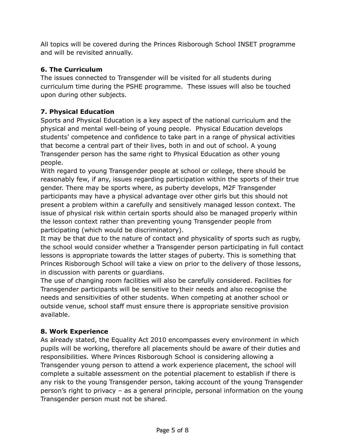All topics will be covered during the Princes Risborough School INSET programme and will be revisited annually.

# **6. The Curriculum**

The issues connected to Transgender will be visited for all students during curriculum time during the PSHE programme. These issues will also be touched upon during other subjects.

# **7. Physical Education**

Sports and Physical Education is a key aspect of the national curriculum and the physical and mental well-being of young people. Physical Education develops students' competence and confidence to take part in a range of physical activities that become a central part of their lives, both in and out of school. A young Transgender person has the same right to Physical Education as other young people.

With regard to young Transgender people at school or college, there should be reasonably few, if any, issues regarding participation within the sports of their true gender. There may be sports where, as puberty develops, M2F Transgender participants may have a physical advantage over other girls but this should not present a problem within a carefully and sensitively managed lesson context. The issue of physical risk within certain sports should also be managed properly within the lesson context rather than preventing young Transgender people from participating (which would be discriminatory).

It may be that due to the nature of contact and physicality of sports such as rugby, the school would consider whether a Transgender person participating in full contact lessons is appropriate towards the latter stages of puberty. This is something that Princes Risborough School will take a view on prior to the delivery of those lessons, in discussion with parents or guardians.

The use of changing room facilities will also be carefully considered. Facilities for Transgender participants will be sensitive to their needs and also recognise the needs and sensitivities of other students. When competing at another school or outside venue, school staff must ensure there is appropriate sensitive provision available.

# **8. Work Experience**

As already stated, the Equality Act 2010 encompasses every environment in which pupils will be working, therefore all placements should be aware of their duties and responsibilities. Where Princes Risborough School is considering allowing a Transgender young person to attend a work experience placement, the school will complete a suitable assessment on the potential placement to establish if there is any risk to the young Transgender person, taking account of the young Transgender person's right to privacy – as a general principle, personal information on the young Transgender person must not be shared.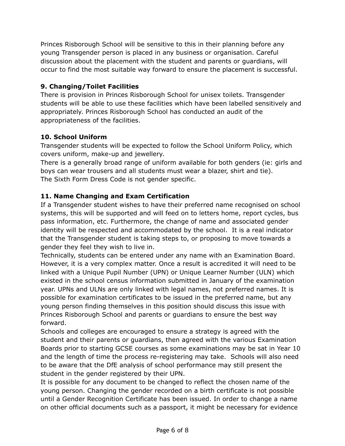Princes Risborough School will be sensitive to this in their planning before any young Transgender person is placed in any business or organisation. Careful discussion about the placement with the student and parents or guardians, will occur to find the most suitable way forward to ensure the placement is successful.

#### **9. Changing/Toilet Facilities**

There is provision in Princes Risborough School for unisex toilets. Transgender students will be able to use these facilities which have been labelled sensitively and appropriately. Princes Risborough School has conducted an audit of the appropriateness of the facilities.

#### **10. School Uniform**

Transgender students will be expected to follow the School Uniform Policy, which covers uniform, make-up and jewellery.

There is a generally broad range of uniform available for both genders (ie: girls and boys can wear trousers and all students must wear a blazer, shirt and tie). The Sixth Form Dress Code is not gender specific.

# **11. Name Changing and Exam Certification**

If a Transgender student wishes to have their preferred name recognised on school systems, this will be supported and will feed on to letters home, report cycles, bus pass information, etc. Furthermore, the change of name and associated gender identity will be respected and accommodated by the school. It is a real indicator that the Transgender student is taking steps to, or proposing to move towards a gender they feel they wish to live in.

Technically, students can be entered under any name with an Examination Board. However, it is a very complex matter. Once a result is accredited it will need to be linked with a Unique Pupil Number (UPN) or Unique Learner Number (ULN) which existed in the school census information submitted in January of the examination year. UPNs and ULNs are only linked with legal names, not preferred names. It is possible for examination certificates to be issued in the preferred name, but any young person finding themselves in this position should discuss this issue with Princes Risborough School and parents or guardians to ensure the best way forward.

Schools and colleges are encouraged to ensure a strategy is agreed with the student and their parents or guardians, then agreed with the various Examination Boards prior to starting GCSE courses as some examinations may be sat in Year 10 and the length of time the process re-registering may take. Schools will also need to be aware that the DfE analysis of school performance may still present the student in the gender registered by their UPN.

It is possible for any document to be changed to reflect the chosen name of the young person. Changing the gender recorded on a birth certificate is not possible until a Gender Recognition Certificate has been issued. In order to change a name on other official documents such as a passport, it might be necessary for evidence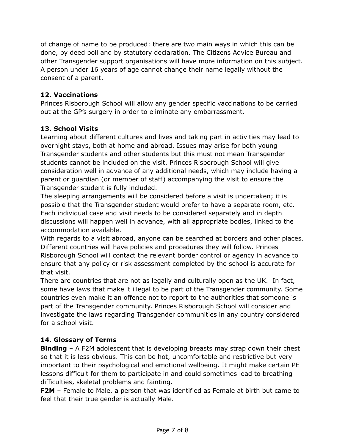of change of name to be produced: there are two main ways in which this can be done, by deed poll and by statutory declaration. The Citizens Advice Bureau and other Transgender support organisations will have more information on this subject. A person under 16 years of age cannot change their name legally without the consent of a parent.

#### **12. Vaccinations**

Princes Risborough School will allow any gender specific vaccinations to be carried out at the GP's surgery in order to eliminate any embarrassment.

#### **13. School Visits**

Learning about different cultures and lives and taking part in activities may lead to overnight stays, both at home and abroad. Issues may arise for both young Transgender students and other students but this must not mean Transgender students cannot be included on the visit. Princes Risborough School will give consideration well in advance of any additional needs, which may include having a parent or guardian (or member of staff) accompanying the visit to ensure the Transgender student is fully included.

The sleeping arrangements will be considered before a visit is undertaken; it is possible that the Transgender student would prefer to have a separate room, etc. Each individual case and visit needs to be considered separately and in depth discussions will happen well in advance, with all appropriate bodies, linked to the accommodation available.

With regards to a visit abroad, anyone can be searched at borders and other places. Different countries will have policies and procedures they will follow. Princes Risborough School will contact the relevant border control or agency in advance to ensure that any policy or risk assessment completed by the school is accurate for that visit.

There are countries that are not as legally and culturally open as the UK. In fact, some have laws that make it illegal to be part of the Transgender community. Some countries even make it an offence not to report to the authorities that someone is part of the Transgender community. Princes Risborough School will consider and investigate the laws regarding Transgender communities in any country considered for a school visit.

#### **14. Glossary of Terms**

**Binding** – A F2M adolescent that is developing breasts may strap down their chest so that it is less obvious. This can be hot, uncomfortable and restrictive but very important to their psychological and emotional wellbeing. It might make certain PE lessons difficult for them to participate in and could sometimes lead to breathing difficulties, skeletal problems and fainting.

**F2M** – Female to Male, a person that was identified as Female at birth but came to feel that their true gender is actually Male.